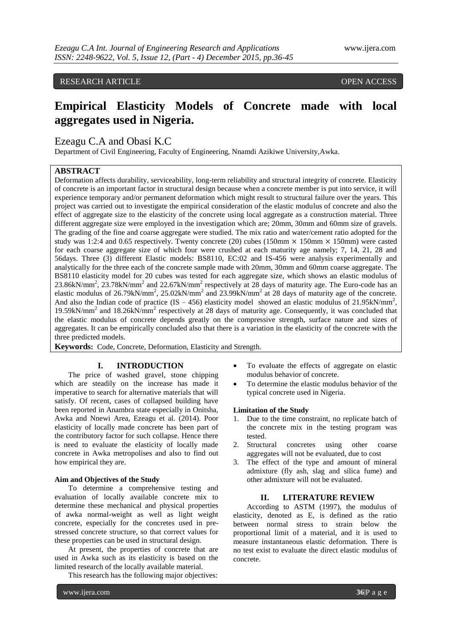### RESEARCH ARTICLE OPEN ACCESS

# **Empirical Elasticity Models of Concrete made with local aggregates used in Nigeria.**

## Ezeagu C.A and Obasi K.C

Department of Civil Engineering, Faculty of Engineering, Nnamdi Azikiwe University,Awka.

#### **ABSTRACT**

Deformation affects durability, serviceability, long-term reliability and structural integrity of concrete. Elasticity of concrete is an important factor in structural design because when a concrete member is put into service, it will experience temporary and/or permanent deformation which might result to structural failure over the years. This project was carried out to investigate the empirical consideration of the elastic modulus of concrete and also the effect of aggregate size to the elasticity of the concrete using local aggregate as a construction material. Three different aggregate size were employed in the investigation which are; 20mm, 30mm and 60mm size of gravels. The grading of the fine and coarse aggregate were studied. The mix ratio and water/cement ratio adopted for the study was 1:2:4 and 0.65 respectively. Twenty concrete (20) cubes (150mm  $\times$  150mm  $\times$  150mm) were casted for each coarse aggregate size of which four were crushed at each maturity age namely; 7, 14, 21, 28 and 56days. Three (3) different Elastic models: BS8110, EC:02 and IS-456 were analysis experimentally and analytically for the three each of the concrete sample made with 20mm, 30mm and 60mm coarse aggregate. The BS8110 elasticity model for 20 cubes was tested for each aggregate size, which shows an elastic modulus of  $23.86 \text{kN/mm}^2$ ,  $23.78 \text{kN/mm}^2$  and  $22.67 \text{kN/mm}^2$  respectively at 28 days of maturity age. The Euro-code has an elastic modulus of 26.79kN/mm<sup>2</sup>, 25.02kN/mm<sup>2</sup> and 23.99kN/mm<sup>2</sup> at 28 days of maturity age of the concrete. And also the Indian code of practice (IS – 456) elasticity model showed an elastic modulus of 21.95kN/mm<sup>2</sup>, 19.59kN/mm<sup>2</sup> and 18.26kN/mm<sup>2</sup> respectively at 28 days of maturity age. Consequently, it was concluded that the elastic modulus of concrete depends greatly on the compressive strength, surface nature and sizes of aggregates. It can be empirically concluded also that there is a variation in the elasticity of the concrete with the three predicted models.

**Keywords:** Code, Concrete, Deformation, Elasticity and Strength.

#### **I. INTRODUCTION**

The price of washed gravel, stone chipping which are steadily on the increase has made it imperative to search for alternative materials that will satisfy. Of recent, cases of collapsed building have been reported in Anambra state especially in Onitsha, Awka and Nnewi Area, Ezeagu et al. (2014). Poor elasticity of locally made concrete has been part of the contributory factor for such collapse. Hence there is need to evaluate the elasticity of locally made concrete in Awka metropolises and also to find out how empirical they are.

#### **Aim and Objectives of the Study**

To determine a comprehensive testing and evaluation of locally available concrete mix to determine these mechanical and physical properties of awka normal-weight as well as light weight concrete, especially for the concretes used in prestressed concrete structure, so that correct values for these properties can be used in structural design.

At present, the properties of concrete that are used in Awka such as its elasticity is based on the limited research of the locally available material.

This research has the following major objectives:

- To evaluate the effects of aggregate on elastic modulus behavior of concrete.
- To determine the elastic modulus behavior of the typical concrete used in Nigeria.

#### **Limitation of the Study**

- 1. Due to the time constraint, no replicate batch of the concrete mix in the testing program was tested.
- 2. Structural concretes using other coarse aggregates will not be evaluated, due to cost
- 3. The effect of the type and amount of mineral admixture (fly ash, slag and silica fume) and other admixture will not be evaluated.

#### **II. LITERATURE REVIEW**

According to ASTM (1997), the modulus of elasticity, denoted as E, is defined as the ratio between normal stress to strain below the proportional limit of a material, and it is used to measure instantaneous elastic deformation. There is no test exist to evaluate the direct elastic modulus of concrete.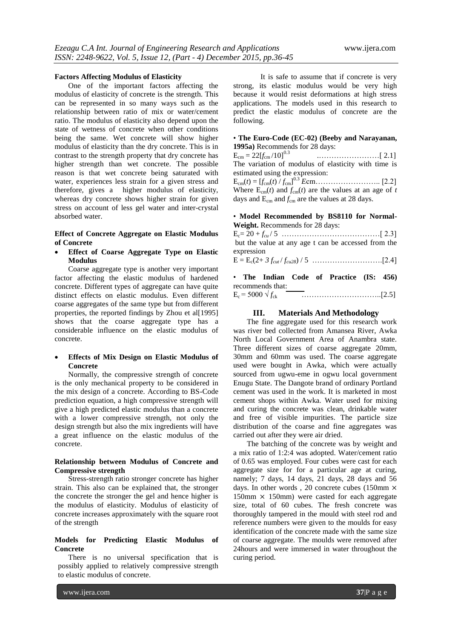#### **Factors Affecting Modulus of Elasticity**

One of the important factors affecting the modulus of elasticity of concrete is the strength. This can be represented in so many ways such as the relationship between ratio of mix or water/cement ratio. The modulus of elasticity also depend upon the state of wetness of concrete when other conditions being the same. Wet concrete will show higher modulus of elasticity than the dry concrete. This is in contrast to the strength property that dry concrete has higher strength than wet concrete. The possible reason is that wet concrete being saturated with water, experiences less strain for a given stress and therefore, gives a higher modulus of elasticity, whereas dry concrete shows higher strain for given stress on account of less gel water and inter-crystal absorbed water.

#### **Effect of Concrete Aggregate on Elastic Modulus of Concrete**

 **Effect of Coarse Aggregate Type on Elastic Modulus**

Coarse aggregate type is another very important factor affecting the elastic modulus of hardened concrete. Different types of aggregate can have quite distinct effects on elastic modulus. Even different coarse aggregates of the same type but from different properties, the reported findings by Zhou et al[1995] shows that the coarse aggregate type has a considerable influence on the elastic modulus of concrete.

#### **Effects of Mix Design on Elastic Modulus of Concrete**

Normally, the compressive strength of concrete is the only mechanical property to be considered in the mix design of a concrete. According to BS-Code prediction equation, a high compressive strength will give a high predicted elastic modulus than a concrete with a lower compressive strength, not only the design strength but also the mix ingredients will have a great influence on the elastic modulus of the concrete.

#### **Relationship between Modulus of Concrete and Compressive strength**

Stress-strength ratio stronger concrete has higher strain. This also can be explained that, the stronger the concrete the stronger the gel and hence higher is the modulus of elasticity. Modulus of elasticity of concrete increases approximately with the square root of the strength

#### **Models for Predicting Elastic Modulus of Concrete**

There is no universal specification that is possibly applied to relatively compressive strength to elastic modulus of concrete.

It is safe to assume that if concrete is very strong, its elastic modulus would be very high because it would resist deformations at high stress applications. The models used in this research to predict the elastic modulus of concrete are the following.

#### • **The Euro-Code (EC-02) (Beeby and Narayanan, 1995a)** Recommends for 28 days:

 $E_{cm} = 22[f_{cm}/10]^{0.3}$ .……………………[ 2.1] The variation of modulus of elasticity with time is estimated using the expression:

Ecm(*t*) = [*f*cm(*t*) / *f*cm] 0.3 *E*cm…………………….. [2.2] Where  $E_{cm}(t)$  and  $f_{cm}(t)$  are the values at an age of  $t$ days and  $E_{cm}$  and  $f_{cm}$  are the values at 28 days.

#### • **Model Recommended by BS8110 for Normal-Weight.** Recommends for 28 days:

|            | but the value at any age t can be accessed from the |
|------------|-----------------------------------------------------|
| expression |                                                     |
|            |                                                     |

|  |                                          |  | • The Indian Code of Practice (IS: 456) |  |
|--|------------------------------------------|--|-----------------------------------------|--|
|  | recommends that:                         |  |                                         |  |
|  | $\blacksquare$ = 2000   0 $\blacksquare$ |  |                                         |  |

# $E_c = 5000 \sqrt{f_{ck}}$  ……………………………………[2.5]

#### **III. Materials And Methodology**

The fine aggregate used for this research work was river bed collected from Amansea River, Awka North Local Government Area of Anambra state. Three different sizes of coarse aggregate 20mm, 30mm and 60mm was used. The coarse aggregate used were bought in Awka, which were actually sourced from ugwu-eme in ogwu local government Enugu State. The Dangote brand of ordinary Portland cement was used in the work. It is marketed in most cement shops within Awka. Water used for mixing and curing the concrete was clean, drinkable water and free of visible impurities. The particle size distribution of the coarse and fine aggregates was carried out after they were air dried.

The batching of the concrete was by weight and a mix ratio of 1:2:4 was adopted. Water/cement ratio of 0.65 was employed. Four cubes were cast for each aggregate size for for a particular age at curing, namely; 7 days, 14 days, 21 days, 28 days and 56 days. In other words , 20 concrete cubes (150mm × 150mm  $\times$  150mm) were casted for each aggregate size, total of 60 cubes. The fresh concrete was thoroughly tampered in the mould with steel rod and reference numbers were given to the moulds for easy identification of the concrete made with the same size of coarse aggregate. The moulds were removed after 24hours and were immersed in water throughout the curing period.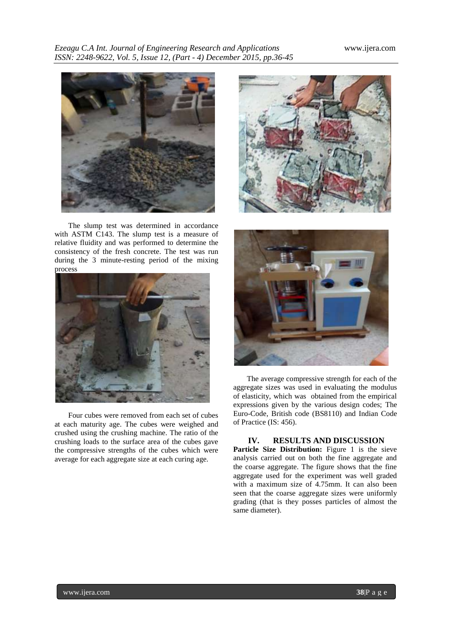

The slump test was determined in accordance with ASTM C143. The slump test is a measure of relative fluidity and was performed to determine the consistency of the fresh concrete. The test was run during the 3 minute-resting period of the mixing process



Four cubes were removed from each set of cubes at each maturity age. The cubes were weighed and crushed using the crushing machine. The ratio of the crushing loads to the surface area of the cubes gave the compressive strengths of the cubes which were average for each aggregate size at each curing age.





The average compressive strength for each of the aggregate sizes was used in evaluating the modulus of elasticity, which was obtained from the empirical expressions given by the various design codes; The Euro-Code, British code (BS8110) and Indian Code of Practice (IS: 456).

# **IV. RESULTS AND DISCUSSION**

Particle Size Distribution: Figure 1 is the sieve analysis carried out on both the fine aggregate and the coarse aggregate. The figure shows that the fine aggregate used for the experiment was well graded with a maximum size of 4.75mm. It can also been seen that the coarse aggregate sizes were uniformly grading (that is they posses particles of almost the same diameter).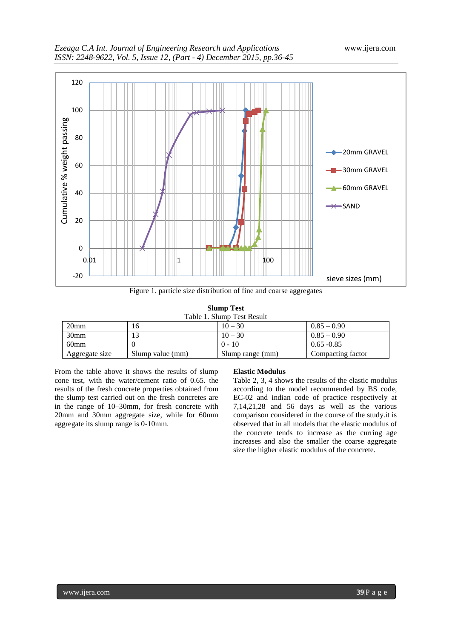

#### **Slump Test**  $T_{\text{sum}}$  T.

| Table T. Siumb Test Result |                  |                  |                   |  |  |
|----------------------------|------------------|------------------|-------------------|--|--|
| 20 <sub>mm</sub>           | Iб               | $10 - 30$        | $0.85 - 0.90$     |  |  |
| 30 <sub>mm</sub>           |                  | $10 - 30$        | $0.85 - 0.90$     |  |  |
| 60 <sub>mm</sub>           |                  | $0 - 10$         | $0.65 - 0.85$     |  |  |
| Aggregate size             | Slump value (mm) | Slump range (mm) | Compacting factor |  |  |

From the table above it shows the results of slump cone test, with the water/cement ratio of 0.65. the results of the fresh concrete properties obtained from the slump test carried out on the fresh concretes are in the range of 10–30mm, for fresh concrete with 20mm and 30mm aggregate size, while for 60mm aggregate its slump range is 0-10mm.

#### **Elastic Modulus**

Table 2, 3, 4 shows the results of the elastic modulus according to the model recommended by BS code, EC-02 and indian code of practice respectively at 7,14,21,28 and 56 days as well as the various comparison considered in the course of the study.it is observed that in all models that the elastic modulus of the concrete tends to increase as the curring age increases and also the smaller the coarse aggregate size the higher elastic modulus of the concrete.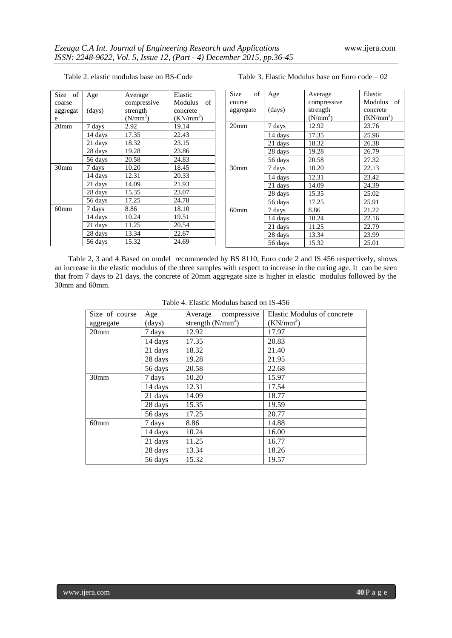| Size of          | Age     | Average              | Elastic       |
|------------------|---------|----------------------|---------------|
| coarse           |         | compressive          | Modulus<br>of |
| aggregat         | (days)  | strength             | concrete      |
| e                |         | (N/mm <sup>2</sup> ) | $(KN/mm^2)$   |
| 20 <sub>mm</sub> | 7 days  | 2.92                 | 19.14         |
|                  | 14 days | 17.35                | 22.43         |
|                  | 21 days | 18.32                | 23.15         |
|                  | 28 days | 19.28                | 23.86         |
|                  | 56 days | 20.58                | 24.83         |
| 30 <sub>mm</sub> | 7 days  | 10.20                | 18.45         |
|                  | 14 days | 12.31                | 20.33         |
|                  | 21 days | 14.09                | 21.93         |
|                  | 28 days | 15.35                | 23.07         |
|                  | 56 days | 17.25                | 24.78         |
| 60 <sub>mm</sub> | 7 days  | 8.86                 | 18.10         |
|                  | 14 days | 10.24                | 19.51         |
|                  | 21 days | 11.25                | 20.54         |
|                  | 28 days | 13.34                | 22.67         |
|                  | 56 days | 15.32                | 24.69         |

| of<br>Size       | Age     | Average              | Elastic               |
|------------------|---------|----------------------|-----------------------|
| course           |         | compressive          | Modulus<br>of         |
| aggregate        | (days)  | strength             | concrete              |
|                  |         | (N/mm <sup>2</sup> ) | (KN/mm <sup>2</sup> ) |
| 20 <sub>mm</sub> | 7 days  | 12.92                | 23.76                 |
|                  | 14 days | 17.35                | 25.96                 |
|                  | 21 days | 18.32                | 26.38                 |
|                  | 28 days | 19.28                | 26.79                 |
|                  | 56 days | 20.58                | 27.32                 |
| 30 <sub>mm</sub> | 7 days  | 10.20                | 22.13                 |
|                  | 14 days | 12.31                | 23.42                 |
|                  | 21 days | 14.09                | 24.39                 |
|                  | 28 days | 15.35                | 25.02                 |
|                  | 56 days | 17.25                | 25.91                 |
| 60 <sub>mm</sub> | 7 days  | 8.86                 | 21.22                 |
|                  | 14 days | 10.24                | 22.16                 |
|                  | 21 days | 11.25                | 22.79                 |
|                  | 28 days | 13.34                | 23.99                 |
|                  | 56 days | 15.32                | 25.01                 |
|                  |         |                      |                       |

Table 2, 3 and 4 Based on model recommended by BS 8110, Euro code 2 and IS 456 respectively, shows an increase in the elastic modulus of the three samples with respect to increase in the curing age. It can be seen that from 7 days to 21 days, the concrete of 20mm aggregate size is higher in elastic modulus followed by the 30mm and 60mm.

| Size of course   | Age     | compressive<br>Average | Elastic Modulus of concrete |
|------------------|---------|------------------------|-----------------------------|
| aggregate        | (days)  | strength $(N/mm^2)$    | $(KN/mm^2)$                 |
| 20 <sub>mm</sub> | 7 days  | 12.92                  | 17.97                       |
|                  | 14 days | 17.35                  | 20.83                       |
|                  | 21 days | 18.32                  | 21.40                       |
|                  | 28 days | 19.28                  | 21.95                       |
|                  | 56 days | 20.58                  | 22.68                       |
| 30 <sub>mm</sub> | 7 days  | 10.20                  | 15.97                       |
|                  | 14 days | 12.31                  | 17.54                       |
|                  | 21 days | 14.09                  | 18.77                       |
|                  | 28 days | 15.35                  | 19.59                       |
|                  | 56 days | 17.25                  | 20.77                       |
| 60mm             | 7 days  | 8.86                   | 14.88                       |
|                  | 14 days | 10.24                  | 16.00                       |
|                  | 21 days | 11.25                  | 16.77                       |
|                  | 28 days | 13.34                  | 18.26                       |
|                  | 56 days | 15.32                  | 19.57                       |

Table 2. elastic modulus base on BS-Code Table 3. Elastic Modulus base on Euro code – 02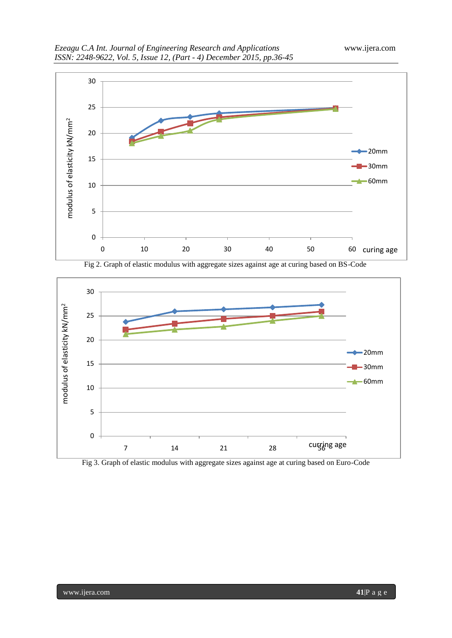





Fig 3. Graph of elastic modulus with aggregate sizes against age at curing based on Euro-Code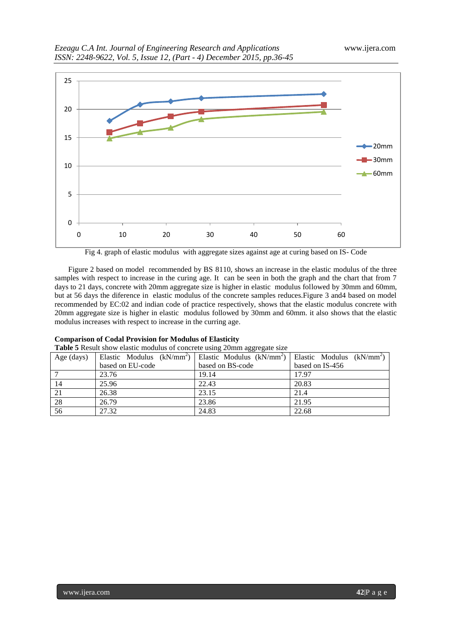

Fig 4. graph of elastic modulus with aggregate sizes against age at curing based on IS- Code

Figure 2 based on model recommended by BS 8110, shows an increase in the elastic modulus of the three samples with respect to increase in the curing age. It can be seen in both the graph and the chart that from 7 days to 21 days, concrete with 20mm aggregate size is higher in elastic modulus followed by 30mm and 60mm, but at 56 days the diference in elastic modulus of the concrete samples reduces.Figure 3 and4 based on model recommended by EC:02 and indian code of practice respectively, shows that the elastic modulus concrete with 20mm aggregate size is higher in elastic modulus followed by 30mm and 60mm. it also shows that the elastic modulus increases with respect to increase in the curring age.

| <b>Table 5</b> Result show elastic modulus of concrete using 20mm aggregate size |                                                       |                  |                            |  |  |  |
|----------------------------------------------------------------------------------|-------------------------------------------------------|------------------|----------------------------|--|--|--|
| Age (days)                                                                       | Elastic Modulus $(kN/mm2)$ Elastic Modulus $(kN/mm2)$ |                  | Elastic Modulus $(kN/mm2)$ |  |  |  |
|                                                                                  | based on EU-code                                      | based on BS-code | based on IS-456            |  |  |  |
|                                                                                  | 23.76                                                 | 19.14            | 17.97                      |  |  |  |
| 14                                                                               | 25.96                                                 | 22.43            | 20.83                      |  |  |  |
| 21                                                                               | 26.38                                                 | 23.15            | 21.4                       |  |  |  |
| 28                                                                               | 26.79                                                 | 23.86            | 21.95                      |  |  |  |
| -56                                                                              | 27.32                                                 | 24.83            | 22.68                      |  |  |  |

#### **Comparison of Codal Provision for Modulus of Elasticity**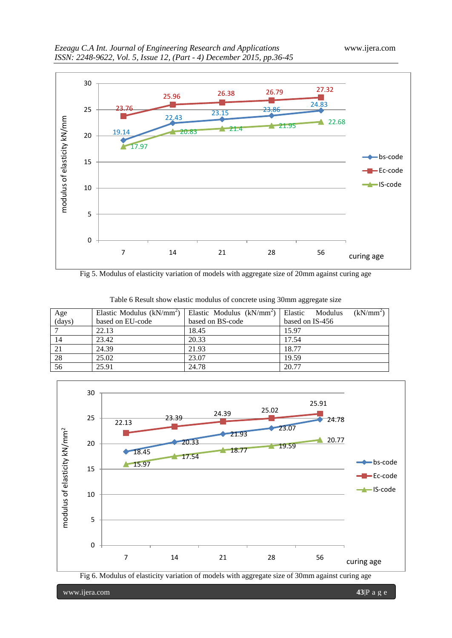

Fig 5. Modulus of elasticity variation of models with aggregate size of 20mm against curing age

| Age    | Elastic Modulus $(kN/mm2)$ | Elastic Modulus $(kN/mm2)$ | $(kN/mm^2)$<br>Modulus<br>Elastic |
|--------|----------------------------|----------------------------|-----------------------------------|
| (days) | based on EU-code           | based on BS-code           | based on IS-456                   |
|        | 22.13                      | 18.45                      | 15.97                             |
| 14     | 23.42                      | 20.33                      | 17.54                             |
| 21     | 24.39                      | 21.93                      | 18.77                             |
| 28     | 25.02                      | 23.07                      | 19.59                             |
| 56     | 25.91                      | 24.78                      | 20.77                             |

Table 6 Result show elastic modulus of concrete using 30mm aggregate size



Fig 6. Modulus of elasticity variation of models with aggregate size of 30mm against curing age

www.ijera.com **43**|P a g e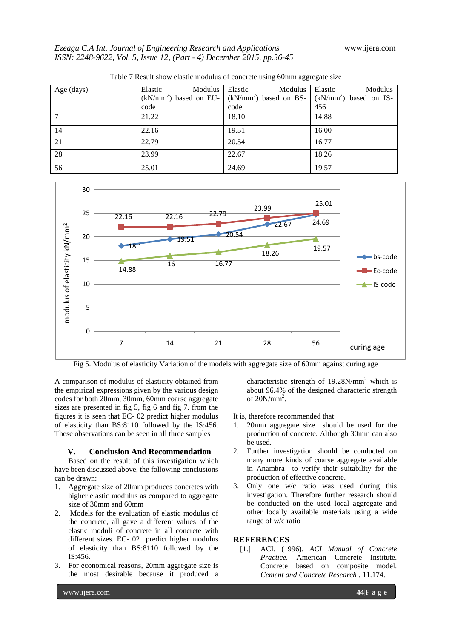| Age (days) | Modulus<br>Elastic | Elastic<br>Modulus                                                                            | Elastic<br>Modulus |
|------------|--------------------|-----------------------------------------------------------------------------------------------|--------------------|
|            |                    | $(kN/mm2)$ based on EU- (kN/mm <sup>2</sup> ) based on BS- (kN/mm <sup>2</sup> ) based on IS- |                    |
|            | code               | code                                                                                          | 456                |
|            | 21.22              | 18.10                                                                                         | 14.88              |
| 14         | 22.16              | 19.51                                                                                         | 16.00              |
| 21         | 22.79              | 20.54                                                                                         | 16.77              |
| 28         | 23.99              | 22.67                                                                                         | 18.26              |
| 56         | 25.01              | 24.69                                                                                         | 19.57              |

Table 7 Result show elastic modulus of concrete using 60mm aggregate size



Fig 5. Modulus of elasticity Variation of the models with aggregate size of 60mm against curing age

A comparison of modulus of elasticity obtained from the empirical expressions given by the various design codes for both 20mm, 30mm, 60mm coarse aggregate sizes are presented in fig 5, fig 6 and fig 7. from the figures it is seen that EC- 02 predict higher modulus of elasticity than BS:8110 followed by the IS:456. These observations can be seen in all three samples

#### **V. Conclusion And Recommendation**

Based on the result of this investigation which have been discussed above, the following conclusions can be drawn:

- 1. Aggregate size of 20mm produces concretes with higher elastic modulus as compared to aggregate size of 30mm and 60mm
- 2. Models for the evaluation of elastic modulus of the concrete, all gave a different values of the elastic moduli of concrete in all concrete with different sizes. EC- 02 predict higher modulus of elasticity than BS:8110 followed by the IS:456.
- 3. For economical reasons, 20mm aggregate size is the most desirable because it produced a

characteristic strength of 19.28N/mm<sup>2</sup> which is about 96.4% of the designed characteric strength of  $20N/mm^2$ .

It is, therefore recommended that:

- 1. 20mm aggregate size should be used for the production of concrete. Although 30mm can also be used.
- 2. Further investigation should be conducted on many more kinds of coarse aggregate available in Anambra to verify their suitability for the production of effective concrete.
- 3. Only one w/c ratio was used during this investigation. Therefore further research should be conducted on the used local aggregate and other locally available materials using a wide range of w/c ratio

#### **REFERENCES**

[1.] ACI. (1996). *ACI Manual of Concrete Practice.* American Concrete Institute. Concrete based on composite model. *Cement and Concrete Research* , 11.174.